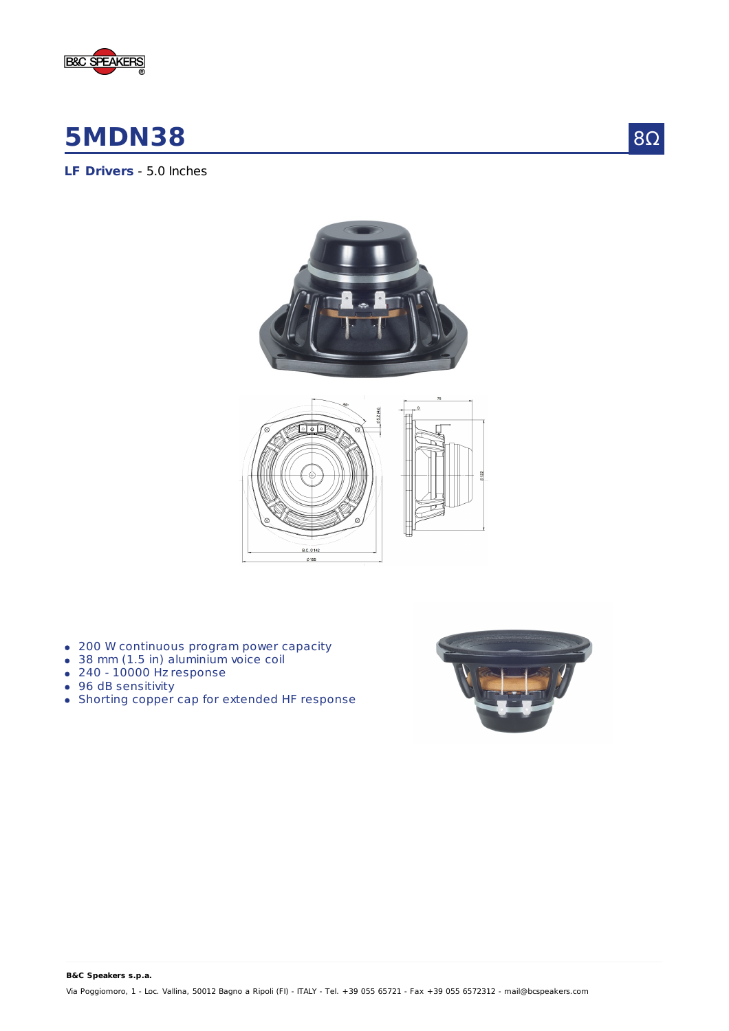

# **5MDN38**

**LF Drivers** - 5.0 Inches





- 200 W continuous program power capacity
- 38 mm (1.5 in) aluminium voice coil
- 240 10000 Hz response
- 96 dB sensitivity
- Shorting copper cap for extended HF response



## 8Ω